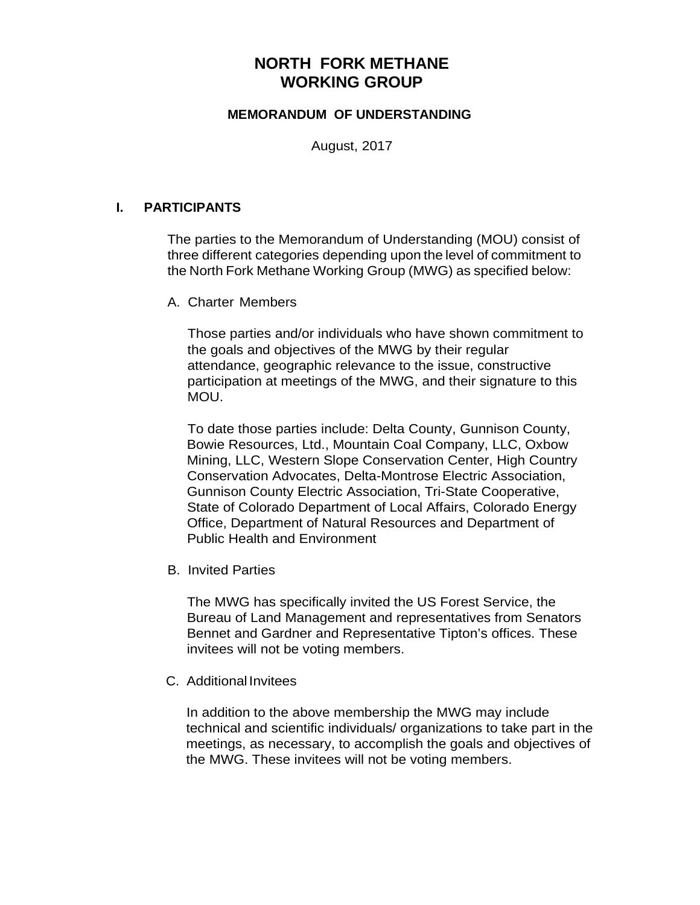# **NORTH FORK METHANE WORKING GROUP**

## **MEMORANDUM OF UNDERSTANDING**

August, 2017

## **I. PARTICIPANTS**

The parties to the Memorandum of Understanding (MOU) consist of three different categories depending upon the level of commitment to the North Fork Methane Working Group (MWG) as specified below:

A. Charter Members

Those parties and/or individuals who have shown commitment to the goals and objectives of the MWG by their regular attendance, geographic relevance to the issue, constructive participation at meetings of the MWG, and their signature to this MOU.

To date those parties include: Delta County, Gunnison County, Bowie Resources, Ltd., Mountain Coal Company, LLC, Oxbow Mining, LLC, Western Slope Conservation Center, High Country Conservation Advocates, Delta-Montrose Electric Association, Gunnison County Electric Association, Tri-State Cooperative, State of Colorado Department of Local Affairs, Colorado Energy Office, Department of Natural Resources and Department of Public Health and Environment

B. Invited Parties

The MWG has specifically invited the US Forest Service, the Bureau of Land Management and representatives from Senators Bennet and Gardner and Representative Tipton's offices. These invitees will not be voting members.

C. Additional Invitees

In addition to the above membership the MWG may include technical and scientific individuals/ organizations to take part in the meetings, as necessary, to accomplish the goals and objectives of the MWG. These invitees will not be voting members.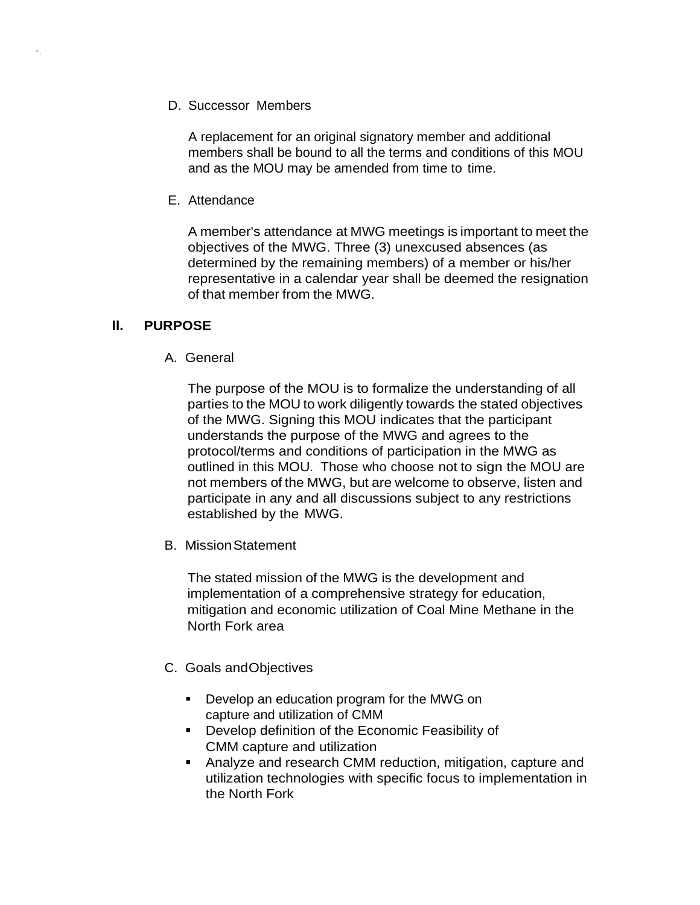D. Successor Members

A replacement for an original signatory member and additional members shall be bound to all the terms and conditions of this MOU and as the MOU may be amended from time to time.

E. Attendance

A member's attendance at MWG meetings is important to meet the objectives of the MWG. Three (3) unexcused absences (as determined by the remaining members) of a member or his/her representative in a calendar year shall be deemed the resignation of that member from the MWG.

# **II. PURPOSE**

•,

A. General

The purpose of the MOU is to formalize the understanding of all parties to the MOU to work diligently towards the stated objectives of the MWG. Signing this MOU indicates that the participant understands the purpose of the MWG and agrees to the protocol/terms and conditions of participation in the MWG as outlined in this MOU. Those who choose not to sign the MOU are not members of the MWG, but are welcome to observe, listen and participate in any and all discussions subject to any restrictions established by the MWG.

B. MissionStatement

The stated mission of the MWG is the development and implementation of a comprehensive strategy for education, mitigation and economic utilization of Coal Mine Methane in the North Fork area

- C. Goals andObjectives
	- **Develop an education program for the MWG on** capture and utilization of CMM
	- **Develop definition of the Economic Feasibility of** CMM capture and utilization
	- Analyze and research CMM reduction, mitigation, capture and utilization technologies with specific focus to implementation in the North Fork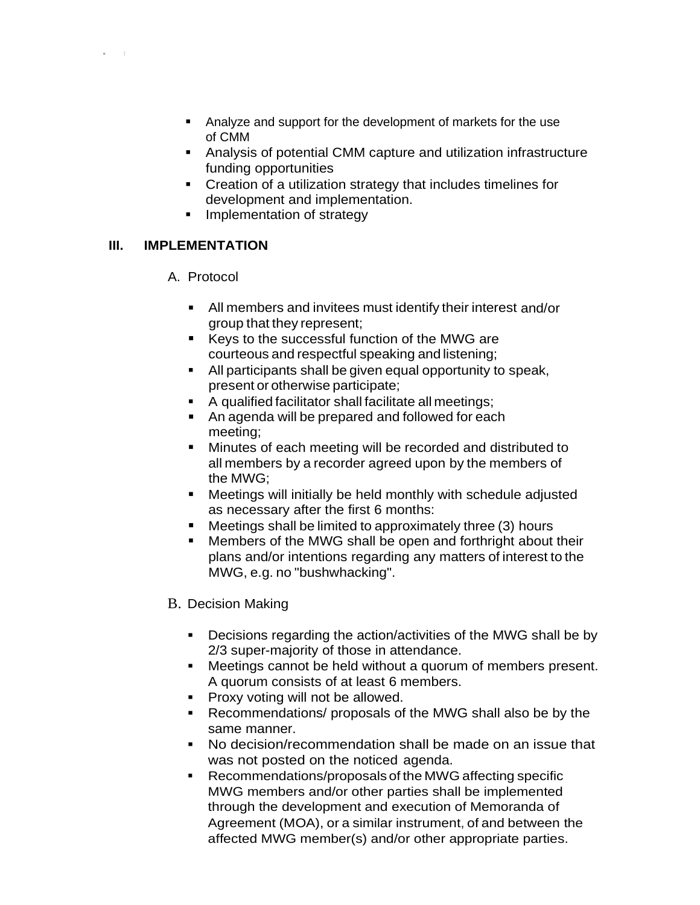- Analyze and support for the development of markets for the use of CMM
- Analysis of potential CMM capture and utilization infrastructure funding opportunities
- Creation of a utilization strategy that includes timelines for development and implementation.
- **Implementation of strategy**

# **III. IMPLEMENTATION**

• I

#### A. Protocol

- All members and invitees must identify their interest and/or group that they represent;
- Keys to the successful function of the MWG are courteous and respectful speaking and listening;
- All participants shall be given equal opportunity to speak, present or otherwise participate;
- A qualified facilitator shall facilitate all meetings;
- An agenda will be prepared and followed for each meeting;
- Minutes of each meeting will be recorded and distributed to all members by a recorder agreed upon by the members of the MWG;
- Meetings will initially be held monthly with schedule adjusted as necessary after the first 6 months:
- Meetings shall be limited to approximately three (3) hours
- **Members of the MWG shall be open and forthright about their** plans and/or intentions regarding any matters of interest to the MWG, e.g. no "bushwhacking".

# B. Decision Making

- **Decisions regarding the action/activities of the MWG shall be by** 2/3 super-majority of those in attendance.
- Meetings cannot be held without a quorum of members present. A quorum consists of at least 6 members.
- **Proxy voting will not be allowed.**
- Recommendations/ proposals of the MWG shall also be by the same manner.
- No decision/recommendation shall be made on an issue that was not posted on the noticed agenda.
- Recommendations/proposals of the MWG affecting specific MWG members and/or other parties shall be implemented through the development and execution of Memoranda of Agreement (MOA), or a similar instrument, of and between the affected MWG member(s) and/or other appropriate parties.